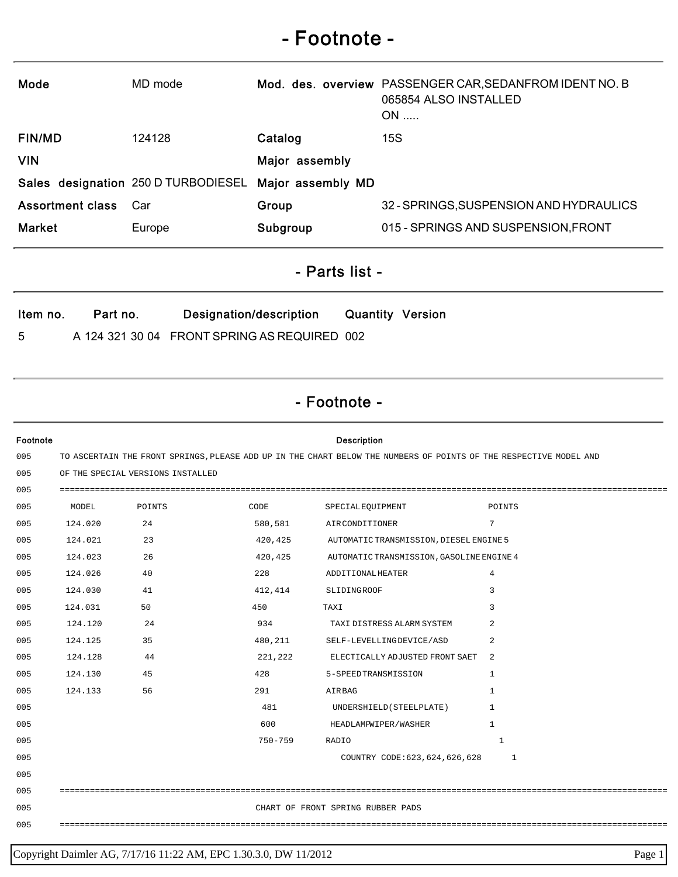## - Footnote -

| Mode                    | MD mode                             |                   | Mod. des. overview PASSENGER CAR, SEDANFROM IDENT NO. B<br>065854 ALSO INSTALLED<br>$ON$ |
|-------------------------|-------------------------------------|-------------------|------------------------------------------------------------------------------------------|
| <b>FIN/MD</b>           | 124128                              | Catalog           | 15S                                                                                      |
| <b>VIN</b>              |                                     | Major assembly    |                                                                                          |
|                         | Sales designation 250 D TURBODIESEL | Major assembly MD |                                                                                          |
| <b>Assortment class</b> | Car                                 | Group             | 32 - SPRINGS, SUSPENSION AND HYDRAULICS                                                  |
| <b>Market</b>           | Europe                              | Subgroup          | 015 - SPRINGS AND SUSPENSION, FRONT                                                      |

- Parts list -

| Item no. | Part no. | Designation/description                      | <b>Quantity Version</b> |  |
|----------|----------|----------------------------------------------|-------------------------|--|
| 5        |          | A 124 321 30 04 FRONT SPRING AS REQUIRED 002 |                         |  |

## - Footnote -

| Footnote |                                                                                                                    |                                   |             | <b>Description</b>                        |                |  |
|----------|--------------------------------------------------------------------------------------------------------------------|-----------------------------------|-------------|-------------------------------------------|----------------|--|
| 005      | TO ASCERTAIN THE FRONT SPRINGS, PLEASE ADD UP IN THE CHART BELOW THE NUMBERS OF POINTS OF THE RESPECTIVE MODEL AND |                                   |             |                                           |                |  |
| 005      |                                                                                                                    | OF THE SPECIAL VERSIONS INSTALLED |             |                                           |                |  |
| 005      |                                                                                                                    |                                   |             |                                           |                |  |
| 005      | MODEL                                                                                                              | POINTS                            | CODE        | SPECIALEOUIPMENT                          | POINTS         |  |
| 005      | 124.020                                                                                                            | 24                                | 580,581     | AIRCONDITIONER                            | 7              |  |
| 005      | 124.021                                                                                                            | 23                                | 420,425     | AUTOMATIC TRANSMISSION, DIESEL ENGINE 5   |                |  |
| 005      | 124.023                                                                                                            | 26                                | 420,425     | AUTOMATIC TRANSMISSION, GASOLINE ENGINE 4 |                |  |
| 005      | 124.026                                                                                                            | 40                                | 228         | ADDITIONALHEATER                          | $\overline{4}$ |  |
| 005      | 124.030                                                                                                            | 41                                | 412,414     | SLIDINGROOF                               | 3              |  |
| 005      | 124.031                                                                                                            | 50                                | 450         | TAXI                                      | 3              |  |
| 005      | 124.120                                                                                                            | 24                                | 934         | TAXI DISTRESS ALARM SYSTEM                | 2              |  |
| 005      | 124.125                                                                                                            | 35                                | 480,211     | SELF-LEVELLINGDEVICE/ASD                  | 2              |  |
| 005      | 124.128                                                                                                            | 44                                | 221,222     | ELECTICALLY ADJUSTED FRONT SAET           | -2             |  |
| 005      | 124.130                                                                                                            | 45                                | 428         | 5-SPEEDTRANSMISSION                       | $\mathbf{1}$   |  |
| 005      | 124.133                                                                                                            | 56                                | 291         | AIRBAG                                    | $\mathbf{1}$   |  |
| 005      |                                                                                                                    |                                   | 481         | UNDERSHIELD (STEELPLATE)                  | 1              |  |
| 005      |                                                                                                                    |                                   | 600         | HEADLAMPWIPER/WASHER                      | 1              |  |
| 005      |                                                                                                                    |                                   | $750 - 759$ | RADIO                                     | 1              |  |
| 005      |                                                                                                                    |                                   |             | COUNTRY CODE: 623, 624, 626, 628          | 1              |  |
| 005      |                                                                                                                    |                                   |             |                                           |                |  |
| 005      |                                                                                                                    |                                   |             |                                           |                |  |
| 005      |                                                                                                                    |                                   |             | CHART OF FRONT SPRING RUBBER PADS         |                |  |
| 005      |                                                                                                                    |                                   |             |                                           |                |  |
|          |                                                                                                                    |                                   |             |                                           |                |  |